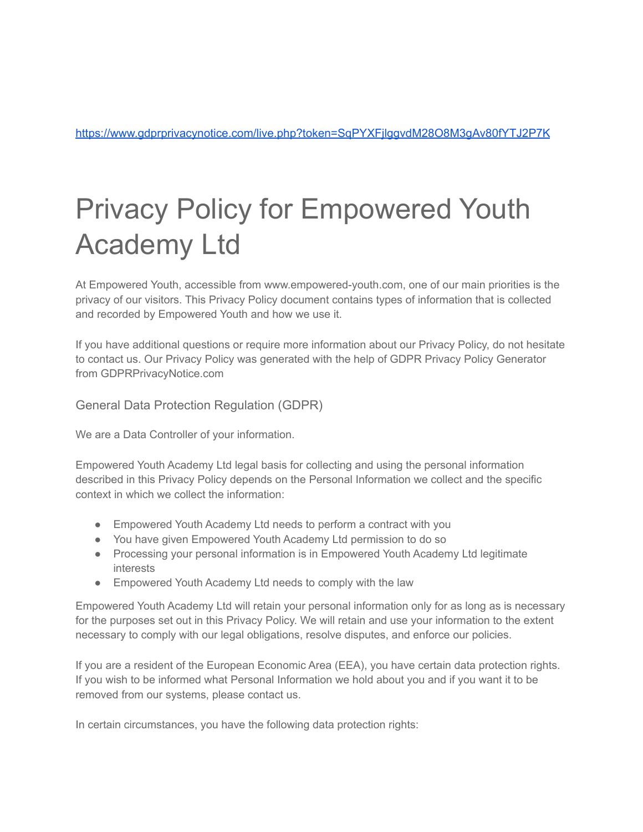<https://www.gdprprivacynotice.com/live.php?token=SqPYXFjlggvdM28O8M3gAv80fYTJ2P7K>

# Privacy Policy for Empowered Youth Academy Ltd

At Empowered Youth, accessible from www.empowered-youth.com, one of our main priorities is the privacy of our visitors. This Privacy Policy document contains types of information that is collected and recorded by Empowered Youth and how we use it.

If you have additional questions or require more information about our Privacy Policy, do not hesitate to contact us. Our Privacy Policy was generated with the help of [GDPR Privacy Policy Generator](https://www.gdprprivacynotice.com/) [from GDPRPrivacyNotice.com](https://www.gdprprivacynotice.com/)

General Data Protection Regulation (GDPR)

We are a Data Controller of your information.

Empowered Youth Academy Ltd legal basis for collecting and using the personal information described in this Privacy Policy depends on the Personal Information we collect and the specific context in which we collect the information:

- Empowered Youth Academy Ltd needs to perform a contract with you
- You have given Empowered Youth Academy Ltd permission to do so
- Processing your personal information is in Empowered Youth Academy Ltd legitimate interests
- Empowered Youth Academy Ltd needs to comply with the law

Empowered Youth Academy Ltd will retain your personal information only for as long as is necessary for the purposes set out in this Privacy Policy. We will retain and use your information to the extent necessary to comply with our legal obligations, resolve disputes, and enforce our policies.

If you are a resident of the European Economic Area (EEA), you have certain data protection rights. If you wish to be informed what Personal Information we hold about you and if you want it to be removed from our systems, please contact us.

In certain circumstances, you have the following data protection rights: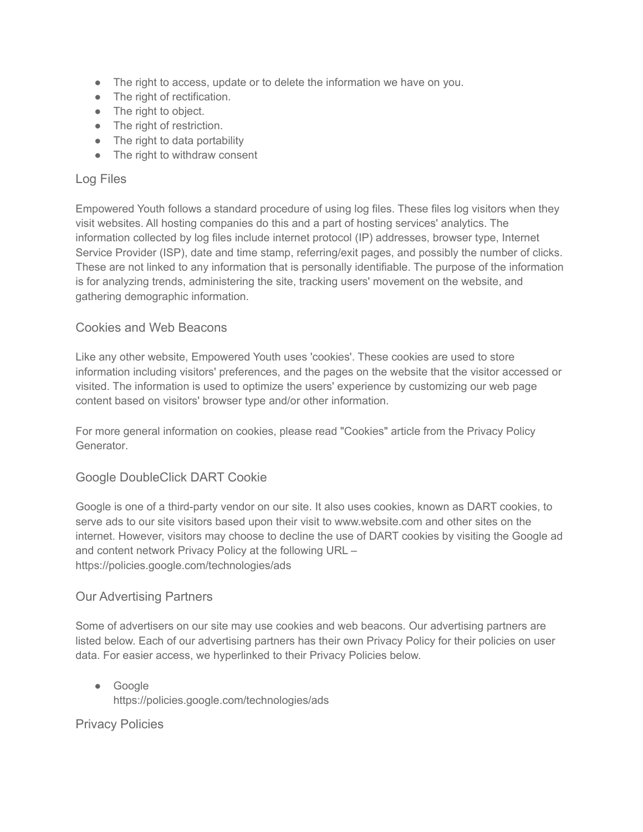- The right to access, update or to delete the information we have on you.
- The right of rectification.
- The right to object.
- The right of restriction.
- The right to data portability
- The right to withdraw consent

#### Log Files

Empowered Youth follows a standard procedure of using log files. These files log visitors when they visit websites. All hosting companies do this and a part of hosting services' analytics. The information collected by log files include internet protocol (IP) addresses, browser type, Internet Service Provider (ISP), date and time stamp, referring/exit pages, and possibly the number of clicks. These are not linked to any information that is personally identifiable. The purpose of the information is for analyzing trends, administering the site, tracking users' movement on the website, and gathering demographic information.

#### Cookies and Web Beacons

Like any other website, Empowered Youth uses 'cookies'. These cookies are used to store information including visitors' preferences, and the pages on the website that the visitor accessed or visited. The information is used to optimize the users' experience by customizing our web page content based on visitors' browser type and/or other information.

For more general information on cookies, please read ["Cookies" article from the Privacy Policy](https://www.generateprivacypolicy.com/#cookies) [Generator](https://www.generateprivacypolicy.com/#cookies).

## Google DoubleClick DART Cookie

Google is one of a third-party vendor on our site. It also uses cookies, known as DART cookies, to serve ads to our site visitors based upon their visit to www.website.com and other sites on the internet. However, visitors may choose to decline the use of DART cookies by visiting the Google ad and content network Privacy Policy at the following URL – <https://policies.google.com/technologies/ads>

## Our Advertising Partners

Some of advertisers on our site may use cookies and web beacons. Our advertising partners are listed below. Each of our advertising partners has their own Privacy Policy for their policies on user data. For easier access, we hyperlinked to their Privacy Policies below.

● Google <https://policies.google.com/technologies/ads>

Privacy Policies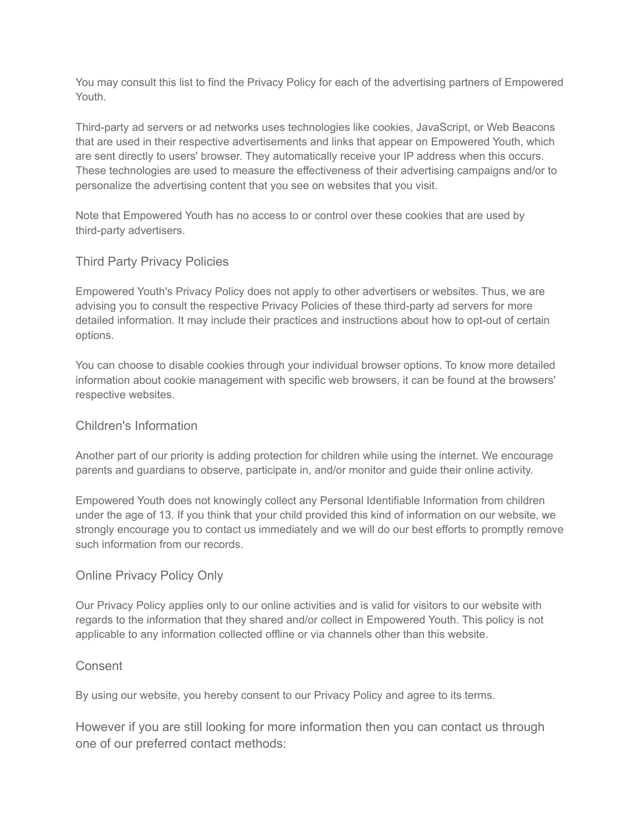You may consult this list to find the Privacy Policy for each of the advertising partners of Empowered Youth.

Third-party ad servers or ad networks uses technologies like cookies, JavaScript, or Web Beacons that are used in their respective advertisements and links that appear on Empowered Youth, which are sent directly to users' browser. They automatically receive your IP address when this occurs. These technologies are used to measure the effectiveness of their advertising campaigns and/or to personalize the advertising content that you see on websites that you visit.

Note that Empowered Youth has no access to or control over these cookies that are used by third-party advertisers.

## Third Party Privacy Policies

Empowered Youth's Privacy Policy does not apply to other advertisers or websites. Thus, we are advising you to consult the respective Privacy Policies of these third-party ad servers for more detailed information. It may include their practices and instructions about how to opt-out of certain options.

You can choose to disable cookies through your individual browser options. To know more detailed information about cookie management with specific web browsers, it can be found at the browsers' respective websites.

## Children's Information

Another part of our priority is adding protection for children while using the internet. We encourage parents and guardians to observe, participate in, and/or monitor and guide their online activity.

Empowered Youth does not knowingly collect any Personal Identifiable Information from children under the age of 13. If you think that your child provided this kind of information on our website, we strongly encourage you to contact us immediately and we will do our best efforts to promptly remove such information from our records.

## Online Privacy Policy Only

Our Privacy Policy applies only to our online activities and is valid for visitors to our website with regards to the information that they shared and/or collect in Empowered Youth. This policy is not applicable to any information collected offline or via channels other than this website.

## **Consent**

By using our website, you hereby consent to our Privacy Policy and agree to its terms.

However if you are still looking for more information then you can contact us through one of our preferred contact methods: